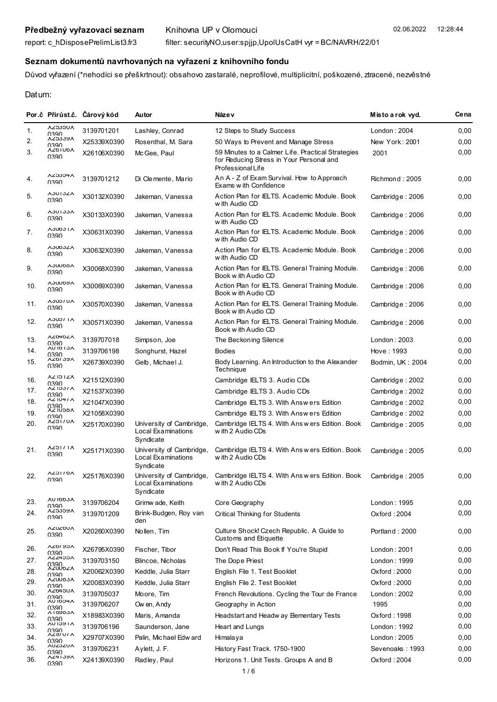## **Seznam dokumentů navrhovaných na vyřazení z knihovního fondu**

Důvod vyřazení (\*nehodíci se přeškrtnout): obsahovo zastaralé, neprofilové, multiplicitní, poškozené, ztracené, nezvěstné

Datum:

| <b>ALCGON</b><br>0390<br>VRCOOZY<br>0390<br><b>AZ01UDA</b><br>0390<br><b>AZ3334A</b><br>0390<br><b>AJUIJZA</b><br>0390<br><b>AJUIJJA</b><br>0390<br><b>AJUDJIA</b><br>0390 | 3139701201<br>X25339X0390<br>X26106X0390<br>3139701212<br>X30132X0390<br>X30133X0390                                                                                                                           | Lashley, Conrad<br>Rosenthal, M. Sara<br>McGee, Paul<br>Di Clemente, Mario<br>Jakeman, Vanessa | 12 Steps to Study Success<br>50 Ways to Prevent and Manage Stress<br>59 Minutes to a Calmer Life. Practical Strategies<br>for Reducing Stress in Your Personal and<br>Professional Life<br>An A - Z of Exam Survival. How to Approach<br>Exams w ith Confidence | London: 2004<br>New York: 2001<br>2001<br>Richmond: 2005 | 0,00<br>0,00<br>0,00<br>0,00 |
|----------------------------------------------------------------------------------------------------------------------------------------------------------------------------|----------------------------------------------------------------------------------------------------------------------------------------------------------------------------------------------------------------|------------------------------------------------------------------------------------------------|-----------------------------------------------------------------------------------------------------------------------------------------------------------------------------------------------------------------------------------------------------------------|----------------------------------------------------------|------------------------------|
|                                                                                                                                                                            |                                                                                                                                                                                                                |                                                                                                |                                                                                                                                                                                                                                                                 |                                                          |                              |
|                                                                                                                                                                            |                                                                                                                                                                                                                |                                                                                                |                                                                                                                                                                                                                                                                 |                                                          |                              |
|                                                                                                                                                                            |                                                                                                                                                                                                                |                                                                                                |                                                                                                                                                                                                                                                                 |                                                          |                              |
|                                                                                                                                                                            |                                                                                                                                                                                                                |                                                                                                |                                                                                                                                                                                                                                                                 |                                                          |                              |
|                                                                                                                                                                            |                                                                                                                                                                                                                |                                                                                                | Action Plan for IELTS, Academic Module, Book<br>w ith Audio CD                                                                                                                                                                                                  | Cambridge: 2006                                          | 0,00                         |
|                                                                                                                                                                            |                                                                                                                                                                                                                | Jakeman, Vanessa                                                                               | Action Plan for IELTS. Academic Module. Book<br>w ith Audio CD                                                                                                                                                                                                  | Cambridge: 2006                                          | 0,00                         |
|                                                                                                                                                                            | X30631X0390                                                                                                                                                                                                    | Jakeman, Vanessa                                                                               | Action Plan for IELTS. Academic Module. Book<br>w ith Audio CD                                                                                                                                                                                                  | Cambridge: 2006                                          | 0,00                         |
| <b>A3UD3ZA</b><br>0390                                                                                                                                                     | X30632X0390                                                                                                                                                                                                    | Jakeman, Vanessa                                                                               | Action Plan for IELTS. Academic Module. Book<br>w ith Audio CD                                                                                                                                                                                                  | Cambridge: 2006                                          | 0,00                         |
| <b>A3UUDOA</b><br>0390                                                                                                                                                     | X30068X0390                                                                                                                                                                                                    | Jakeman, Vanessa                                                                               | Action Plan for IELTS. General Training Module.<br>Book w ith Audio CD                                                                                                                                                                                          | Cambridge: 2006                                          | 0,00                         |
| <b>VAOMCY</b><br>0390                                                                                                                                                      | X30069X0390                                                                                                                                                                                                    | Jakeman, Vanessa                                                                               | Action Plan for IELTS. General Training Module.<br>Book w ith Audio CD                                                                                                                                                                                          | Cambridge: 2006                                          | 0,00                         |
| <b>AJUDIUA</b><br>0390                                                                                                                                                     | X30570X0390                                                                                                                                                                                                    | Jakeman, Vanessa                                                                               | Action Plan for IELTS. General Training Module.<br>Book w ith Audio CD                                                                                                                                                                                          | Cambridge: 2006                                          | 0,00                         |
| AJUDI IA<br>0390                                                                                                                                                           | X30571X0390                                                                                                                                                                                                    | Jakeman, Vanessa                                                                               | Action Plan for IELTS. General Training Module.<br>Book w ith Audio CD                                                                                                                                                                                          | Cambridge: 2006                                          | 0,00                         |
| <b>AZ040ZA</b>                                                                                                                                                             | 3139707018                                                                                                                                                                                                     | Simpson, Joe                                                                                   | The Beckoning Silence                                                                                                                                                                                                                                           | London: 2003                                             | 0,00                         |
| <b>AU 10 1 JA</b><br>0390                                                                                                                                                  | 3139706198                                                                                                                                                                                                     | Songhurst, Hazel                                                                               | <b>Bodies</b>                                                                                                                                                                                                                                                   | Hove: 1993                                               | 0,00                         |
| 0390                                                                                                                                                                       | X26739X0390                                                                                                                                                                                                    | Gelb, Michael J.                                                                               | Body Learning. An Introduction to the Alexander<br>Technique                                                                                                                                                                                                    | Bodmin, UK: 2004                                         | 0,00                         |
| 0390                                                                                                                                                                       | X21512X0390                                                                                                                                                                                                    |                                                                                                | Cambridge IELTS 3. Audio CDs                                                                                                                                                                                                                                    | Cambridge: 2002                                          | 0,00                         |
| 0390                                                                                                                                                                       | X21537X0390                                                                                                                                                                                                    |                                                                                                | Cambridge IELTS 3. Audio CDs                                                                                                                                                                                                                                    | Cambridge: 2002                                          | 0,00                         |
| 0390                                                                                                                                                                       | X21047X0390                                                                                                                                                                                                    |                                                                                                | Cambridge IELTS 3. With Answers Edition                                                                                                                                                                                                                         | Cambridge: 2002                                          | 0,00                         |
| 0390                                                                                                                                                                       | X21058X0390                                                                                                                                                                                                    |                                                                                                | Cambridge IELTS 3. With Answers Edition                                                                                                                                                                                                                         | Cambridge: 2002                                          | 0,00                         |
| 0390                                                                                                                                                                       | X25170X0390                                                                                                                                                                                                    | University of Cambridge,<br>Local Examinations<br>Syndicate                                    | Cambridge IELTS 4. With Answers Edition. Book<br>w ith 2 Audio CDs                                                                                                                                                                                              | Cambridge: 2005                                          | 0,00                         |
| <b>AZOLILA</b><br>0390                                                                                                                                                     | X25171X0390                                                                                                                                                                                                    | University of Cambridge,<br>Local Examinations<br>Syndicate                                    | Cambridge IELTS 4. With Ans w ers Edition. Book<br>w ith 2 Audio CDs                                                                                                                                                                                            | Cambridge: 2005                                          | 0,00                         |
| AZOI TOA<br>0390                                                                                                                                                           | X25176X0390                                                                                                                                                                                                    | University of Cambridge,<br>Local Examinations<br>Syndicate                                    | Cambridge IELTS 4. With Ans w ers Edition. Book<br>w ith 2 Audio CDs                                                                                                                                                                                            | Cambridge: 2005                                          | 0,00                         |
| <b>AU IDDJA</b>                                                                                                                                                            | 3139706204                                                                                                                                                                                                     | Grimw ade, Keith                                                                               | Core Geography                                                                                                                                                                                                                                                  | London: 1995                                             | 0,00                         |
| <b>ALCCCAY</b><br>0390                                                                                                                                                     | 3139701209                                                                                                                                                                                                     | Brink-Budgen, Roy van<br>den                                                                   | <b>Critical Thinking for Students</b>                                                                                                                                                                                                                           | Oxford: 2004                                             | 0,00                         |
| <b>AZUZOUA</b><br>0390                                                                                                                                                     | X20260X0390                                                                                                                                                                                                    | Nollen, Tim                                                                                    | Culture Shock! Czech Republic. A Guide to<br>Customs and Etiquette                                                                                                                                                                                              | Portland: 2000                                           | 0,00                         |
| <b>VCAIOTY</b>                                                                                                                                                             | X26795X0390                                                                                                                                                                                                    | Fischer, Tibor                                                                                 | Don't Read This Book If You're Stupid                                                                                                                                                                                                                           | London: 2001                                             | 0,00                         |
| ACC457Y                                                                                                                                                                    | 3139703150                                                                                                                                                                                                     | Blincoe, Nicholas                                                                              | The Dope Priest                                                                                                                                                                                                                                                 | London: 1999                                             | 0,00                         |
| <b>AZUUDZA</b>                                                                                                                                                             | X20062X0390                                                                                                                                                                                                    | Keddle, Julia Starr                                                                            | English File 1. Test Booklet                                                                                                                                                                                                                                    | Oxford: 2000                                             | 0,00                         |
| <b>AZUUÖJA</b>                                                                                                                                                             | X20083X0390                                                                                                                                                                                                    | Keddle, Julia Starr                                                                            | English File 2. Test Booklet                                                                                                                                                                                                                                    | Oxford: 2000                                             | 0,00                         |
| <b>AZ040UA</b>                                                                                                                                                             | 3139705037                                                                                                                                                                                                     | Moore, Tim                                                                                     | French Revolutions. Cycling the Tour de France                                                                                                                                                                                                                  | London: 2002                                             | 0,00                         |
| AU 1004A                                                                                                                                                                   | 3139706207                                                                                                                                                                                                     | Ow en, Andy                                                                                    | Geography in Action                                                                                                                                                                                                                                             | 1995                                                     | 0,00                         |
| <b>Y I QAQ?Y</b><br>0390                                                                                                                                                   | X18983X0390                                                                                                                                                                                                    | Maris, Amanda                                                                                  | Headstart and Headw ay Bementary Tests                                                                                                                                                                                                                          | Oxford : 1998                                            | 0,00                         |
| <b>YI RCI NY</b><br>0390                                                                                                                                                   | 3139706196                                                                                                                                                                                                     | Saunderson, Jane                                                                               | Heart and Lungs                                                                                                                                                                                                                                                 | London: 1992                                             | 0,00                         |
| 0390                                                                                                                                                                       | X29707X0390                                                                                                                                                                                                    | Palin, Michael Edw ard                                                                         | Himalaya                                                                                                                                                                                                                                                        | London: 2005                                             | 0,00                         |
| <b>AUZ3ZUA</b><br>0390                                                                                                                                                     | 3139706231                                                                                                                                                                                                     | Aylett, J. F.                                                                                  | History Fast Track. 1750-1900                                                                                                                                                                                                                                   | Sevenoaks: 1993                                          | 0,00                         |
| 0390                                                                                                                                                                       | X24139X0390                                                                                                                                                                                                    | Radley, Paul                                                                                   | Horizons 1. Unit Tests. Groups A and B                                                                                                                                                                                                                          | Oxford: 2004                                             | 0,00                         |
|                                                                                                                                                                            | 0390<br><b>AZ013YA</b><br><b>AZIOIZA</b><br><b>AZIOSIA</b><br><b>AZ 1047A</b><br><b>AZ IUDOA</b><br><b>AUTICZY</b><br>0390<br>0390<br>0390<br>0390<br>0390<br>0390<br>0390<br><b>AZYIUIA</b><br><b>AZ41397</b> |                                                                                                |                                                                                                                                                                                                                                                                 |                                                          |                              |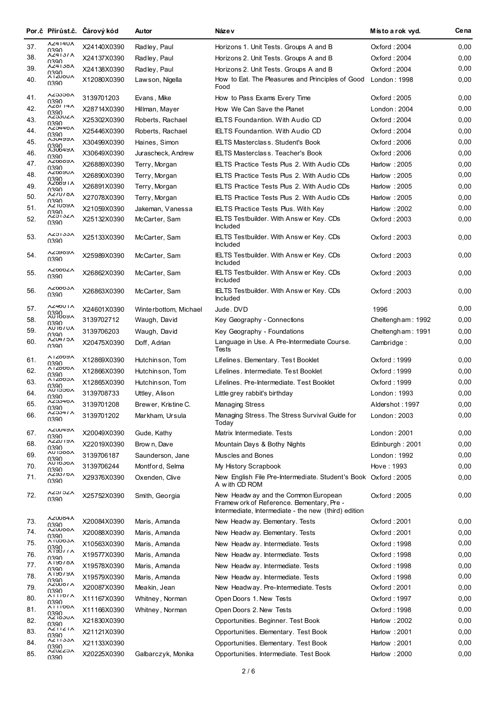|     |                               | Por.č Přírůst.č. Čárový kód | Autor                 | Náze v                                                                                                                                    | Místo a rok vyd.  | Ce na |
|-----|-------------------------------|-----------------------------|-----------------------|-------------------------------------------------------------------------------------------------------------------------------------------|-------------------|-------|
| 37. | <b>AZ414UA</b><br>0390        | X24140X0390                 | Radley, Paul          | Horizons 1. Unit Tests. Groups A and B                                                                                                    | Oxford: 2004      | 0,00  |
| 38. | <b>AZ4131A</b><br>0390        | X24137X0390                 | Radley, Paul          | Horizons 2. Unit Tests. Groups A and B                                                                                                    | Oxford: 2004      | 0,00  |
| 39. | <b>AZ4130A</b>                | X24138X0390                 | Radley, Paul          | Horizons 2. Unit Tests. Groups A and B                                                                                                    | Oxford: 2004      | 0,00  |
| 40. | 0390<br>^12000^<br>0390       | X12080X0390                 | Lawson, Nigella       | How to Eat. The Pleasures and Principles of Good<br>Food                                                                                  | London: 1998      | 0,00  |
| 41. | <b>AZJJJOA</b><br>0390        | 3139701203                  | Evans, Mike           | How to Pass Exams Every Time                                                                                                              | Oxford: 2005      | 0,00  |
| 42. | <b>AZ0114A</b>                | X28714X0390                 | Hillman, Mayer        | How We Can Save the Planet                                                                                                                | London: 2004      | 0,00  |
| 43. | 0390<br>^2330ZA               | X25302X0390                 | Roberts, Rachael      | <b>IELTS Foundantion. With Audio CD</b>                                                                                                   | Oxford: 2004      | 0,00  |
| 44. | 0390<br><b>AZJ440A</b>        | X25446X0390                 | Roberts, Rachael      | <b>IELTS Foundantion. With Audio CD</b>                                                                                                   | Oxford: 2004      | 0,00  |
| 45. | 0390<br>VARHADY               | X30499X0390                 | Haines, Simon         | <b>IELTS Masterclass. Student's Book</b>                                                                                                  | Oxford: 2006      | 0,00  |
| 46. | 0390<br>VAHONCV               | X30649X0390                 | Jurascheck, Andrew    | <b>IELTS Masterclass. Teacher's Book</b>                                                                                                  | Oxford: 2006      | 0,00  |
| 47. | 0390<br>VR0007V               | X26889X0390                 | Terry, Morgan         | <b>IELTS Practice Tests Plus 2. With Audio CDs</b>                                                                                        | Harlow: 2005      | 0,00  |
| 48. | 0390<br>VAR00AV               | X26890X0390                 | Terry, Morgan         | <b>IELTS Practice Tests Plus 2. With Audio CDs</b>                                                                                        | Harlow: 2005      | 0,00  |
| 49. | 0390<br><b>V160071V</b>       | X26891X0390                 | Terry, Morgan         | IELTS Practice Tests Plus 2. With Audio CDs                                                                                               | Harlow: 2005      | 0,00  |
| 50. | 0390<br><b>AZIUIOA</b>        | X27078X0390                 | Terry, Morgan         | <b>IELTS Practice Tests Plus 2. With Audio CDs</b>                                                                                        | Harlow: 2005      | 0,00  |
| 51. | 0390<br><b>VACINAY</b>        | X21059X0390                 | Jakeman, Vanessa      | IELTS Practice Tests Plus. With Key                                                                                                       | Harlow: 2002      | 0,00  |
| 52. | 0390<br><b>AZDIJZA</b>        | X25132X0390                 | McCarter, Sam         | IELTS Testbuilder. With Answ er Key. CDs                                                                                                  | Oxford: 2003      | 0,00  |
| 53. | 0390<br><b>AZDIJJA</b>        | X25133X0390                 | McCarter, Sam         | <b>Included</b><br>IELTS Testbuilder. With Answ er Key. CDs                                                                               | Oxford: 2003      | 0,00  |
| 54. | 0390<br><b>VRQAC7Y</b>        |                             |                       | <b>Included</b>                                                                                                                           |                   | 0,00  |
|     | 0390<br><b>AZ000ZA</b>        | X25989X0390                 | McCarter, Sam         | IELTS Testbuilder. With Answer Key. CDs<br><b>Included</b>                                                                                | Oxford: 2003      |       |
| 55. | 0390<br><b>AZ0003A</b>        | X26862X0390                 | McCarter, Sam         | IELTS Testbuilder. With Answ er Key. CDs<br><b>Included</b>                                                                               | Oxford: 2003      | 0,00  |
| 56. | 0390                          | X26863X0390                 | McCarter, Sam         | IELTS Testbuilder. With Answ er Key. CDs<br><b>Included</b>                                                                               | Oxford: 2003      | 0,00  |
| 57. | AZ40UTA<br>0390               | X24601X0390                 | Winterbottom, Michael | Jude, DVD                                                                                                                                 | 1996              | 0,00  |
| 58. | <b>VAGOI NY</b><br>0390       | 3139702712                  | Waugh, David          | Key Geography - Connections                                                                                                               | Cheltengham: 1992 | 0,00  |
| 59. | <b>AUTOTUA</b><br>0390        | 3139706203                  | Waugh, David          | Key Geography - Foundations                                                                                                               | Cheltengham: 1991 | 0,00  |
| 60. | <b>AZUHIDA</b><br>0390        | X20475X0390                 | Doff, Adrian          | Language in Use. A Pre-Intermediate Course.<br>Tests                                                                                      | Cambridge:        | 0,00  |
| 61. | <b>ALZ009Y</b><br>0390        | X12869X0390                 | Hutchinson, Tom       | Lifelines. Elementary. Test Booklet                                                                                                       | Oxford: 1999      | 0,00  |
| 62. | <b>A12000A</b><br>0390        | X12866X0390                 | Hutchinson, Tom       | Lifelines. Intermediate. Test Booklet                                                                                                     | Oxford: 1999      | 0,00  |
| 63. | <b>A12000A</b><br><b>NSSU</b> | X12865X0390                 | Hutchinson, Tom       | Lifelines. Pre-Intermediate. Test Booklet                                                                                                 | Oxford: 1999      | 0,00  |
| 64. | <b>AU ISSOL</b><br>0390       | 3139708733                  | Uttley, Alison        | Little grey rabbit's birthday                                                                                                             | London: 1993      | 0,00  |
| 65. | <b>AZ5340A</b><br>0390        | 3139701208                  | Brewer, Kristine C.   | <b>Managing Stress</b>                                                                                                                    | Aldershot: 1997   | 0,00  |
| 66. | <b>AZ0341A</b><br>0390        | 3139701202                  | Markham, Ursula       | Managing Stress. The Stress Survival Guide for<br>Today                                                                                   | London: 2003      | 0,00  |
| 67. | <b>VARONZY</b><br>0390        | X20049X0390                 | Gude, Kathy           | Matrix Intermediate. Tests                                                                                                                | London: 2001      | 0,00  |
| 68. | <b>VKI.OZZY</b><br>0390       | X22019X0390                 | Brow n, Dave          | Mountain Days & Bothy Nights                                                                                                              | Edinburgh: 2001   | 0,00  |
| 69. | <b>AU IDOOA</b><br>0390       | 3139706187                  | Saunderson, Jane      | Muscles and Bones                                                                                                                         | London : 1992     | 0,00  |
| 70. | <b>AU IDJDA</b><br>0390       | 3139706244                  | Montford, Selma       | My History Scrapbook                                                                                                                      | Hove: 1993        | 0,00  |
| 71. | VQ/GY7V<br>0390               | X29376X0390                 | Oxenden, Clive        | New English File Pre-Intermediate. Student's Book Oxford: 2005<br>A w ith CD ROM                                                          |                   | 0,00  |
| 72. | <b>AZOI OZA</b><br>0390       | X25752X0390                 | Smith, Georgia        | New Headw ay and the Common European<br>Framew ork of Reference. Bementary, Pre -<br>Intermediate, Intermediate - the new (third) edition | Oxford: 2005      | 0,00  |
| 73. | <b>AZUUÖ4A</b><br>0390        | X20084X0390                 | Maris, Amanda         | New Headw ay. Elementary. Tests                                                                                                           | Oxford: 2001      | 0,00  |
| 74. | <b>AZUUÖÖA</b><br>0390        | X20088X0390                 | Maris, Amanda         | New Headw ay. Elementary. Tests                                                                                                           | Oxford: 2001      | 0,00  |
| 75. | <b>ATUDDJA</b>                | X10563X0390                 | Maris, Amanda         | New Headw ay. Intermediate. Tests                                                                                                         | Oxford: 1998      | 0,00  |
| 76. | 0390<br>VIJQQIY<br>0390       | X19577X0390                 | Maris, Amanda         | New Headw ay. Intermediate. Tests                                                                                                         | Oxford: 1998      | 0,00  |
| 77. | <b>A150/0A</b><br>0390        | X19578X0390                 | Maris, Amanda         | New Headw ay. Intermediate. Tests                                                                                                         | Oxford: 1998      | 0,00  |
| 78. | <b>VIADIAY</b>                | X19579X0390                 | Maris, Amanda         | New Headw ay. Intermediate. Tests                                                                                                         | Oxford: 1998      | 0,00  |
| 79. | 0390<br>AZUU07 A              | X20087X0390                 | Meakin, Jean          | New Headway. Pre-Intermediate. Tests                                                                                                      | Oxford : 2001     | 0,00  |
| 80. | 0390<br><b>ATTIO/A</b>        | X11167X0390                 | Whitney, Norman       | Open Doors 1. New Tests                                                                                                                   | Oxford: 1997      | 0,00  |
| 81. | 0390<br><b>ATTIODA</b>        | X11166X0390                 | Whitney, Norman       | Open Doors 2. New Tests                                                                                                                   | Oxford: 1998      | 0,00  |
| 82. | 0390<br><b>AZ 183UA</b>       | X21830X0390                 |                       | Opportunities. Beginner. Test Book                                                                                                        | Harlow: 2002      | 0,00  |
| 83. | 0390<br><b>AZTIZIA</b>        | X21121X0390                 |                       | Opportunities. Elementary. Test Book                                                                                                      | Harlow: 2001      | 0,00  |
| 84. | 0390<br><b>AZTI33A</b>        | X21133X0390                 |                       | Opportunities. Elementary. Test Book                                                                                                      | Harlow: 2001      | 0,00  |
| 85. | 0390<br>VC77N7Y               | X20225X0390                 | Galbarczyk, Monika    | Opportunities. Intermediate. Test Book                                                                                                    | Harlow: 2000      | 0,00  |
|     | 0390                          |                             |                       |                                                                                                                                           |                   |       |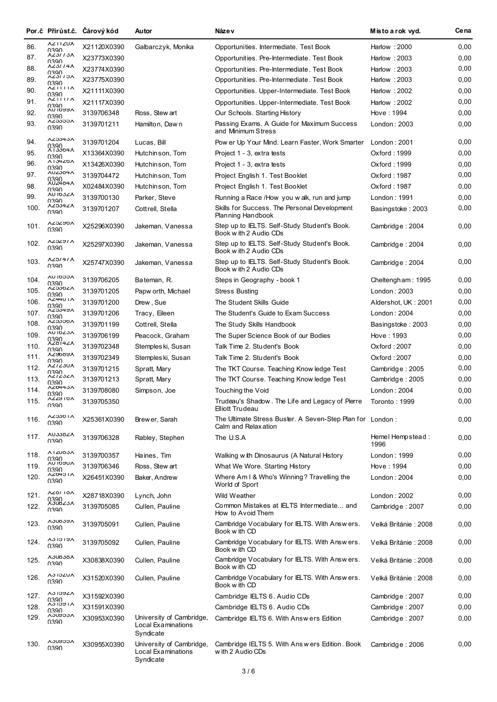|      |                                                        | Por.č Přírůst.č. Čárový kód | Autor                                                       | Náze v                                                                            | Místo a rok vyd.         | Cena |
|------|--------------------------------------------------------|-----------------------------|-------------------------------------------------------------|-----------------------------------------------------------------------------------|--------------------------|------|
| 86.  | <b>AZTIZUA</b><br>0390                                 | X21120X0390                 | Galbarczyk, Monika                                          | Opportunities. Intermediate. Test Book                                            | Harlow: 2000             | 0,00 |
| 87.  | <b>AZJI 13A</b><br>0390                                | X23773X0390                 |                                                             | Opportunities. Pre-Intermediate. Test Book                                        | Harlow: 2003             | 0,00 |
| 88.  | <b>AZJI 14A</b>                                        | X23774X0390                 |                                                             | Opportunities. Pre-Intermediate. Test Book                                        | Harlow: 2003             | 0,00 |
| 89.  | 0390<br>AZƏLLƏA<br>0390                                | X23775X0390                 |                                                             | Opportunities. Pre-Intermediate. Test Book                                        | Harlow: 2003             | 0,00 |
| 90.  | <b>AZIIIIA</b><br>0390                                 | X21111X0390                 |                                                             | Opportunities. Upper-Intermediate. Test Book                                      | Harlow: 2002             | 0,00 |
| 91.  | <b>AZIIIIA</b><br>0390                                 | X21117X0390                 |                                                             | Opportunities. Upper-Intermediate. Test Book                                      | Harlow: 2002             | 0,00 |
| 92.  | <b>VARQI OY</b><br>0390                                | 3139706348                  | Ross, Stew art                                              | Our Schools. Starting History                                                     | Hove : 1994              | 0,00 |
| 93.  | VCCCCYV<br>0390                                        | 3139701211                  | Hamilton, Dawn                                              | Passing Exams. A Guide for Maximum Success<br>and Minimum Stress                  | London: 2003             | 0,00 |
| 94.  | <b>AZ3343A</b><br>0390                                 | 3139701204                  | Lucas, Bill                                                 | Pow er Up Your Mind. Learn Faster, Work Smarter                                   | London: 2001             | 0,00 |
| 95.  | <b>A13304A</b><br>0390                                 | X13364X0390                 | Hutchinson, Tom                                             | Project 1 - 3, extra tests                                                        | Oxford: 1999             | 0,00 |
| 96.  | <b>AIJ4Z0A</b><br>0390                                 | X13426X0390                 | Hutchinson, Tom                                             | Project 1 - 3, extra tests                                                        | Oxford: 1999             | 0,00 |
| 97.  | VAOC707<br>0390                                        | 3139704472                  | Hutchinson, Tom                                             | Project English 1. Test Booklet                                                   | Oxford : 1987            | 0,00 |
| 98.  | <b>AUZ404A</b><br>0390                                 | X02484X0390                 | Hutchinson, Tom                                             | Project English 1. Test Booklet                                                   | Oxford: 1987             | 0,00 |
| 99.  | <b>AU IDJZA</b><br>0390                                | 3139700130                  | Parker, Steve                                               | Running a Race /How you walk, run and jump                                        | London: 1991             | 0,00 |
| 100. | AZJJ4ZA<br>0390                                        | 3139701207                  | Cottrell, Stella                                            | Skills for Success. The Personal Development<br>Planning Handbook                 | Basingstoke: 2003        | 0,00 |
| 101. | VQR7C7V<br>0390                                        | X25296X0390                 | Jakeman, Vanessa                                            | Step up to IELTS. Self-Study Student's Book.<br>Book w ith 2 Audio CDs            | Cambridge: 2004          | 0,00 |
| 102. | <b>YRZCZY</b><br>0390                                  | X25297X0390                 | Jakeman, Vanessa                                            | Step up to IELTS. Self-Study Student's Book.<br>Book w ith 2 Audio CDs            | Cambridge: 2004          | 0,00 |
| 103. | <b>AZ0141A</b><br>0390                                 | X25747X0390                 | Jakeman, Vanessa                                            | Step up to IELTS. Self-Study Student's Book.<br>Book w ith 2 Audio CDs            | Cambridge: 2004          | 0,00 |
| 104. | <b>AU IDDDA</b><br>0390                                | 3139706205                  | Bateman, R.                                                 | Steps in Geography - book 1                                                       | Cheltengham: 1995        | 0,00 |
| 105. | <b>AZO30ZA</b><br>0390                                 | 3139701205                  | Papw orth, Michael                                          | <b>Stress Busting</b>                                                             | London: 2003             | 0,00 |
| 106. | <b>AZ4401A</b><br>0390                                 | 3139701200                  | Drew, Sue                                                   | The Student Skills Guide                                                          | Aldershot, UK: 2001      | 0,00 |
| 107. | <b>AZDJ4YA</b><br>0390                                 | 3139701206                  | Tracy, Elleen                                               | The Student's Guide to Exam Success                                               | London: 2004             | 0,00 |
| 108. | <b>AZDJJDA</b><br>0390                                 | 3139701199                  | Cottrell, Stella                                            | The Study Skills Handbook                                                         | Basingstoke: 2003        | 0,00 |
| 109. | <b>AU IDZJA</b>                                        | 3139706199                  | Peacock, Graham                                             | The Super Science Book of our Bodies                                              | Hove: 1993               | 0,00 |
| 110. | 0390<br>AZ014ZA<br>0390                                | 3139702348                  | Stemples ki, Susan                                          | Talk Time 2. Student's Book                                                       | Oxford: 2007             | 0,00 |
| 111. | <b>VROQAY</b><br>0390                                  | 3139702349                  | Stemples ki, Susan                                          | Talk Time 2. Student's Book                                                       | Oxford: 2007             | 0,00 |
| 112. | <b>AZIZ3UA</b><br>0390                                 | 3139701215                  | Spratt, Mary                                                | The TKT Course. Teaching Know ledge Test                                          | Cambridge: 2005          | 0,00 |
| 113. | <b>AZIZSZA</b><br>0390                                 | 3139701213                  | Spratt, Mary                                                | The TKT Course. Teaching Know ledge Test                                          | Cambridge: 2005          | 0,00 |
| 114. | <b>AZ0443A</b><br>0390                                 | 3139708080                  | Simpson, Joe                                                | Touching the Void                                                                 | London: 2004             | 0,00 |
| 115. | <b>AZZY10A</b><br>0390                                 | 3139705350                  |                                                             | Trudeau's Shadow. The Life and Legacy of Pierre<br>Elliott Trudeau                | Toronto : 1999           | 0,00 |
| 116. | AZ330 I A<br>0390                                      | X25361X0390                 | Brewer, Sarah                                               | The Ultimate Stress Buster. A Seven-Step Plan for London:<br>Calm and Relax ation |                          | 0,00 |
| 117. | <b>AUJJÖZA</b><br>0390                                 | 3139706328                  | Rabley, Stephen                                             | The U.S.A                                                                         | Hemel Hempstead:<br>1996 | 0,00 |
| 118. | <b>AIZUOSA</b><br><b>VA 10 AOY</b><br>UGO <sup>0</sup> | 3139700357                  | Haines, Tim                                                 | Walking with Dinosaurus (A Natural History                                        | London: 1999             | 0,00 |
| 119. | 0390                                                   | 3139706346                  | Ross, Stew art                                              | What We Wore. Starting History                                                    | Hove: 1994               | 0,00 |
| 120. | <b>AZ0401A</b><br>0390                                 | X26451X0390                 | Baker, Andrew                                               | Where Am I & Who's Winning? Travelling the<br>World of Sport                      | London: 2004             | 0,00 |
| 121. | <b>AZ0110A</b><br>0390                                 | X28718X0390                 | Lynch, John                                                 | Wild Weather                                                                      | London: 2002             | 0,00 |
| 122. | <b>AJUOZJA</b><br>0390                                 | 3139705085                  | Cullen, Pauline                                             | Common Mistakes at IELTS Intermediate and<br>How to Avoid Them                    | Cambridge: 2007          | 0,00 |
| 123. | <b>YACONCY</b><br>0390                                 | 3139705091                  | Cullen, Pauline                                             | Cambridge Vocabulary for IELTS. With Answers.<br>Book w ith CD                    | Velká Británie : 2008    | 0,00 |
| 124. | <b>ASIDIAY</b><br>0390                                 | 3139705092                  | Cullen, Pauline                                             | Cambridge Vocabulary for IELTS. With Answers.<br>Book w ith CD                    | Velká Británie : 2008    | 0,00 |
| 125. | <b>AJUOJOA</b><br>0390                                 | X30838X0390                 | Cullen, Pauline                                             | Cambridge Vocabulary for IELTS. With Answers.<br>Book with CD                     | Velká Británie : 2008    | 0,00 |
| 126. | <b>AJ IDZUA</b><br>0390                                | X31520X0390                 | Cullen, Pauline                                             | Cambridge Vocabulary for IELTS. With Answers.<br>Book w ith CD                    | Velká Británie : 2008    | 0,00 |
| 127. | <b>AS IDATY</b><br>0390                                | X31592X0390                 |                                                             | Cambridge IELTS 6. Audio CDs                                                      | Cambridge: 2007          | 0,00 |
| 128. | <b>AJIDYIA</b><br>0390                                 | X31591X0390                 |                                                             | Cambridge IELTS 6. Audio CDs                                                      | Cambridge: 2007          | 0,00 |
| 129. | <b>AGCWGA</b><br>0390                                  | X30953X0390                 | University of Cambridge,<br>Local Examinations<br>Syndicate | Cambridge IELTS 6. With Answers Edition                                           | Cambridge: 2007          | 0,00 |
| 130. | <b>AGCRUCA</b><br>0390                                 | X30955X0390                 | University of Cambridge,<br>Local Examinations<br>Syndicate | Cambridge IELTS 5. With Answers Edition. Book<br>w ith 2 Audio CDs                | Cambridge: 2006          | 0,00 |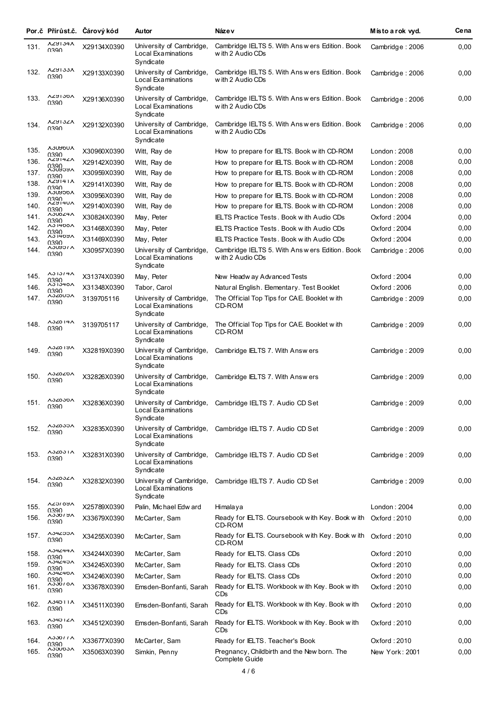|              |                                   | Por.č Přírůst.č. Čárový kód | Autor                                                       | Náze v                                                                                              | Místo a rok vyd. | Ce na        |
|--------------|-----------------------------------|-----------------------------|-------------------------------------------------------------|-----------------------------------------------------------------------------------------------------|------------------|--------------|
| 131.         | <b>AZYIJ4A</b><br>0390            | X29134X0390                 | University of Cambridge,<br>Local Examinations<br>Syndicate | Cambridge IELTS 5. With Answers Edition. Book<br>w ith 2 Audio CDs                                  | Cambridge: 2006  | 0,00         |
| 132.         | <b>AZYIJJA</b><br>0390            | X29133X0390                 | University of Cambridge,<br>Local Examinations<br>Syndicate | Cambridge IELTS 5. With Answers Edition. Book<br>w ith 2 Audio CDs                                  | Cambridge: 2006  | 0,00         |
| 133.         | VQC1R7V<br>0390                   | X29136X0390                 | University of Cambridge,<br>Local Examinations<br>Syndicate | Cambridge IELTS 5. With Answers Edition. Book<br>w ith 2 Audio CDs                                  | Cambridge: 2006  | 0,00         |
| 134.         | VTAIOTV<br>0390                   | X29132X0390                 | University of Cambridge,<br>Local Examinations<br>Syndicate | Cambridge IELTS 5. With Answers Edition. Book<br>w ith 2 Audio CDs                                  | Cambridge: 2006  | 0,00         |
| 135.         | VOOROOV<br>0390                   | X30960X0390                 | Witt, Ray de                                                | How to prepare for IELTS. Book with CD-ROM                                                          | London: 2008     | 0,00         |
| 136.         | <b>AZY14ZA</b><br>0390            | X29142X0390                 | Witt, Ray de                                                | How to prepare for IELTS. Book with CD-ROM                                                          | London: 2008     | 0,00         |
| 137.         | VACANCY<br>0390                   | X30959X0390                 | Witt, Ray de                                                | How to prepare for IELTS. Book with CD-ROM                                                          | London: 2008     | 0,00         |
| 138.         | <b>AZJ141A</b><br>0390            | X29141X0390                 | Witt, Ray de                                                | How to prepare for IELTS. Book with CD-ROM                                                          | London: 2008     | 0,00         |
| 139.         | VOCANCV                           | X30956X0390                 | Witt, Ray de                                                | How to prepare for IELTS. Book with CD-ROM                                                          | London: 2008     | 0,00         |
| 140.         | 0390<br><b>YA140Y</b><br>0390     | X29140X0390                 | Witt, Ray de                                                | How to prepare for IELTS. Book with CD-ROM                                                          | London: 2008     | 0,00         |
| 141.         | AJU024A                           | X30824X0390                 | May, Peter                                                  | <b>IELTS Practice Tests. Book with Audio CDs</b>                                                    | Oxford: 2004     | 0,00         |
| 142.         | 0390<br><b>A31400A</b>            | X31468X0390                 | May, Peter                                                  | <b>IELTS Practice Tests. Book with Audio CDs</b>                                                    | Oxford: 2004     | 0,00         |
| 143.         | 0390<br><b>AS 1409A</b>           | X31469X0390                 | May, Peter                                                  | <b>IELTS Practice Tests. Book with Audio CDs</b>                                                    | Oxford: 2004     | 0,00         |
| 144.         | 0390<br><b>AJUYOIA</b><br>0390    | X30957X0390                 | University of Cambridge,<br>Local Examinations<br>Syndicate | Cambridge IELTS 5. With Answers Edition. Book<br>w ith 2 Audio CDs                                  | Cambridge: 2006  | 0,00         |
| 145.         | <b>AJ1374A</b>                    | X31374X0390                 | May, Peter                                                  | New Headw ay Advanced Tests                                                                         | Oxford: 2004     | 0,00         |
| 146.         | 0390<br><b>A31340A</b><br>0390    | X31348X0390                 | Tabor, Carol                                                | Natural English. Elementary. Test Booklet                                                           | Oxford : 2006    | 0,00         |
| 147.         | <b>AJZ0UDA</b><br><b>NSSU</b>     | 3139705116                  | University of Cambridge,<br>Local Examinations<br>Syndicate | The Official Top Tips for CAE. Booklet with<br>CD-ROM                                               | Cambridge: 2009  | 0,00         |
| 148.         | <b>A32814A</b><br>0390            | 3139705117                  | University of Cambridge,<br>Local Examinations<br>Syndicate | The Official Top Tips for CAE. Booklet with<br>CD-ROM                                               | Cambridge: 2009  | 0,00         |
| 149.         | <b>AJZ019A</b><br>0390            | X32819X0390                 | University of Cambridge,<br>Local Examinations<br>Syndicate | Cambridge IELTS 7. With Answers                                                                     | Cambridge: 2009  | 0,00         |
| 150.         | <b>A32820A</b><br>0390            | X32826X0390                 | University of Cambridge,<br>Local Examinations<br>Syndicate | Cambridge IELTS 7. With Answers                                                                     | Cambridge: 2009  | 0,00         |
| 151.         | <b>A32830A</b><br>0390            | X32836X0390                 | University of Cambridge,<br>Local Examinations<br>Syndicate | Cambridge IELTS 7. Audio CD Set                                                                     | Cambridge: 2009  | 0,00         |
| 152.         | <b>AJZ0JDA</b><br>0390            | X32835X0390                 | University of Cambridge,<br>Local Examinations<br>Syndicate | Cambridge IELTS 7. Audio CD Set                                                                     | Cambridge: 2009  | 0,00         |
| 153.         | <b>AJZ0JIA</b><br>0390            | X32831X0390                 | University of Cambridge,<br>Local Examinations<br>Syndicate | Cambridge IELTS 7. Audio CD Set                                                                     | Cambridge: 2009  | 0,00         |
| 154.         | <b>AJZ0JZA</b><br>0390            | X32832X0390                 | University of Cambridge,<br>Local Examinations<br>Syndicate | Cambridge IELTS 7. Audio CD Set                                                                     | Cambridge: 2009  | 0,00         |
| 155.         | <b>VRQIC7Y</b><br>0390            | X25789X0390                 | Palin, Michael Edw ard                                      | Himalaya                                                                                            | London: 2004     | 0,00         |
| 156.         | <b>AU 10CCA</b><br>0390           | X33679X0390                 | McCarter, Sam                                               | Ready for ELTS. Coursebook with Key. Book with<br>CD-ROM                                            | Oxford: 2010     | 0,00         |
| 157.         | A34Z00A<br>0390<br><b>A34244A</b> | X34255X0390                 | McCarter, Sam                                               | Ready for ELTS. Coursebook with Key. Book with<br>CD-ROM                                            | Oxford: 2010     | 0,00         |
| 158.         | 0390<br><b>A34240A</b>            | X34244X0390                 | McCarter, Sam                                               | Ready for IELTS. Class CDs                                                                          | Oxford: 2010     | 0,00         |
| 159.         | 0390<br><b>A34240A</b>            | X34245X0390                 | McCarter, Sam                                               | Ready for IELTS. Class CDs                                                                          | Oxford: 2010     | 0,00         |
| 160.         | 0390<br><b>AJJ0/0A</b>            | X34246X0390                 | McCarter, Sam                                               | Ready for IELTS. Class CDs                                                                          | Oxford: 2010     | 0,00         |
| 161.         | 0390<br><b>AJ4011A</b>            | X33678X0390                 | Emsden-Bonfanti, Sarah                                      | Ready for ELTS. Workbook with Key. Book with<br>CDs                                                 | Oxford: 2010     | 0,00         |
| 162.<br>163. | 0390<br><b>A3401ZA</b>            | X34511X0390                 | Emsden-Bonfanti, Sarah                                      | Ready for ELTS. Workbook with Key. Book with<br>CDs<br>Ready for ELTS. Workbook with Key. Book with | Oxford: 2010     | 0,00<br>0,00 |
|              | 0390<br><b>AJJOI I A</b>          | X34512X0390                 | Emsden-Bonfanti, Sarah                                      | CDs                                                                                                 | Oxford: 2010     |              |
| 164.         | 0390<br><b>AJJUDJA</b>            | X33677X0390                 | McCarter, Sam                                               | Ready for IELTS. Teacher's Book                                                                     | Oxford: 2010     | 0,00         |
| 165.         | 0390                              | X35063X0390                 | Simkin, Penny                                               | Pregnancy, Childbirth and the New born. The<br>Complete Guide                                       | New York: 2001   | 0,00         |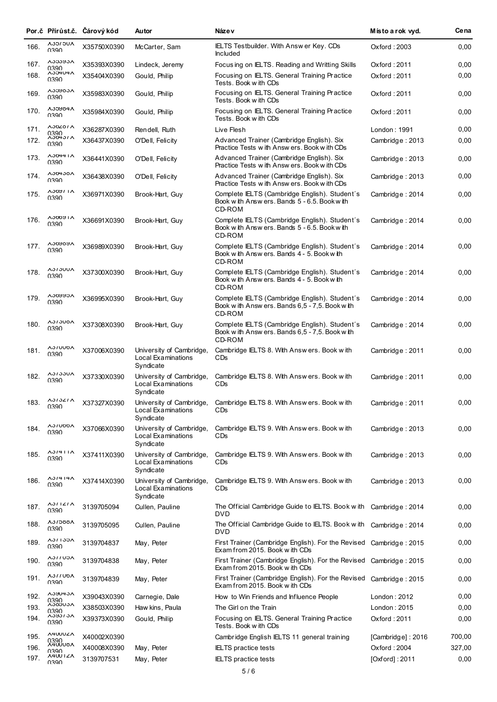|      |                                | Por.č Přírůst.č. Čárový kód | Autor                                                       | Náze v                                                                                                   | Místo a rok vyd.  | Ce na  |
|------|--------------------------------|-----------------------------|-------------------------------------------------------------|----------------------------------------------------------------------------------------------------------|-------------------|--------|
| 166. | <b>AUC ICCA</b><br>0390        | X35750X0390                 | McCarter, Sam                                               | IELTS Testbuilder. With Answ er Key. CDs<br><b>Included</b>                                              | Oxford: 2003      | 0,00   |
| 167. | VOCOOV                         | X35393X0390                 | Lindeck, Jeremy                                             | Focusing on IELTS. Reading and Writting Skills                                                           | Oxford: 2011      | 0,00   |
| 168. | 0390<br><b>ADJACCY</b><br>0390 | X35404X0390                 | Gould, Philip                                               | Focusing on IELTS. General Training Practice<br>Tests. Book w ith CDs                                    | Oxford: 2011      | 0,00   |
| 169. | VOOAOOV<br>0390                | X35983X0390                 | Gould, Philip                                               | Focusing on IELTS. General Training Practice<br>Tests. Book with CDs                                     | Oxford : 2011     | 0,00   |
| 170. | V HORCCV<br>0390               | X35984X0390                 | Gould, Philip                                               | Focusing on IELTS. General Training Practice<br>Tests. Book with CDs                                     | Oxford: 2011      | 0,00   |
| 171. | <b>AJ0401A</b>                 | X36287X0390                 | Rendell, Ruth                                               | Live Flesh                                                                                               | London: 1991      | 0,00   |
| 172. | 0390<br>^30437^<br>0390        | X36437X0390                 | O'Dell, Felicity                                            | Advanced Trainer (Cambridge English). Six<br>Practice Tests w ith Answ ers. Book w ith CDs               | Cambridge: 2013   | 0,00   |
| 173. | <b>AJ0441A</b><br>0390         | X36441X0390                 | O'Dell, Felicity                                            | Advanced Trainer (Cambridge English). Six<br>Practice Tests w ith Answers. Book with CDs                 | Cambridge: 2013   | 0,00   |
| 174. | <b>AJ04J0A</b><br>0390         | X36438X0390                 | O'Dell, Felicity                                            | Advanced Trainer (Cambridge English). Six<br>Practice Tests w ith Answ ers. Book w ith CDs               | Cambridge: 2013   | 0,00   |
| 175. | <b>V1 / ROCV</b><br>0390       | X36971X0390                 | Brook-Hart, Guy                                             | Complete IELTS (Cambridge English). Student's<br>Book with Answers, Bands 5 - 6.5, Book with<br>CD-ROM   | Cambridge : 2014  | 0,00   |
| 176. | <b>AJ0091A</b><br>0390         | X36691X0390                 | Brook-Hart, Guy                                             | Complete IELTS (Cambridge English). Student's<br>Book with Answers, Bands 5 - 6.5, Book with<br>CD-ROM   | Cambridge: 2014   | 0,00   |
| 177. | <b>VAQAQCY</b><br>0390         | X36989X0390                 | Brook-Hart, Guy                                             | Complete IELTS (Cambridge English). Student's<br>Book with Answers. Bands 4 - 5. Book with<br>CD-ROM     | Cambridge: 2014   | 0,00   |
| 178. | <b>AJIJUUA</b><br>0390         | X37300X0390                 | Brook-Hart, Guy                                             | Complete IELTS (Cambridge English). Student's<br>Book with Answers. Bands 4 - 5. Book with<br>CD-ROM     | Cambridge: 2014   | 0,00   |
| 179. | <b>VCRAQCY</b><br>0390         | X36995X0390                 | Brook-Hart, Guy                                             | Complete IELTS (Cambridge English). Student´s<br>Book with Answers. Bands 6,5 - 7,5. Book with<br>CD-ROM | Cambridge: 2014   | 0,00   |
| 180. | <b>AJIJUDA</b><br>0390         | X37308X0390                 | Brook-Hart, Guy                                             | Complete IELTS (Cambridge English). Student's<br>Book with Answers. Bands 6,5 - 7,5. Book with<br>CD-ROM | Cambridge: 2014   | 0,00   |
| 181. | <b>AJ/UUDA</b><br>0390         | X37006X0390                 | University of Cambridge,<br>Local Examinations<br>Syndicate | Cambridge IELTS 8. With Answers. Book with<br>CDs                                                        | Cambridge: 2011   | 0,00   |
| 182. | <b>AJIJJUA</b><br>0390         | X37330X0390                 | University of Cambridge,<br>Local Examinations<br>Syndicate | Cambridge IELTS 8. With Answers. Book with<br>CDs                                                        | Cambridge: 2011   | 0,00   |
| 183. | <b>AJIJZIA</b><br>0390         | X37327X0390                 | University of Cambridge,<br>Local Examinations<br>Syndicate | Cambridge IELTS 8. With Answers. Book with<br>CDs                                                        | Cambridge: 2011   | 0,00   |
| 184. | <b>A3/UDDA</b><br>0390         | X37066X0390                 | University of Cambridge,<br>Local Examinations<br>Syndicate | Cambridge IELTS 9. With Answers. Book with<br>CDs                                                        | Cambridge: 2013   | 0,00   |
| 185. | <b>A37411A</b><br>0390         | X37411X0390                 | University of Cambridge,<br>Local Examinations<br>Syndicate | Cambridge IELTS 9. With Answers. Book with<br>CDs                                                        | Cambridge: 2013   | 0,00   |
| 186. | <b>A31414A</b><br>0390         | X37414X0390                 | University of Cambridge,<br>Local Examinations<br>Syndicate | Cambridge IELTS 9. With Answers. Book with<br>CDs                                                        | Cambridge: 2013   | 0,00   |
| 187. | <b>AJIILIA</b><br>0390         | 3139705094                  | Cullen, Pauline                                             | The Official Cambridge Guide to IELTS. Book with<br><b>DVD</b>                                           | Cambridge: 2014   | 0,00   |
| 188. | <b>A31000A</b><br>0390         | 3139705095                  | Cullen, Pauline                                             | The Official Cambridge Guide to IELTS. Book with<br>DVD                                                  | Cambridge: 2014   | 0,00   |
| 189. | <b>A37130A</b><br>0390         | 3139704837                  | May, Peter                                                  | First Trainer (Cambridge English). For the Revised Cambridge: 2015<br>Exam from 2015. Book with CDs      |                   | 0,00   |
| 190. | <b>ASTTUDA</b><br>0390         | 3139704838                  | May, Peter                                                  | First Trainer (Cambridge English). For the Revised Cambridge: 2015<br>Exam from 2015. Book with CDs      |                   | 0,00   |
| 191. | <b>A37700A</b><br>0390         | 3139704839                  | May, Peter                                                  | First Trainer (Cambridge English). For the Revised<br>Exam from 2015. Book with CDs                      | Cambridge: 2015   | 0,00   |
| 192. | <b>AJYU4JA</b><br>0390         | X39043X0390                 | Carnegie, Dale                                              | How to Win Friends and Influence People                                                                  | London: 2012      | 0,00   |
| 193. | <b>AJOJUJA</b><br>0390         | X38503X0390                 | Haw kins, Paula                                             | The Girl on the Train                                                                                    | London: 2015      | 0,00   |
| 194. | <b>AJYJ1JA</b><br>0390         | X39373X0390                 | Gould, Philip                                               | Focusing on IELTS. General Training Practice<br>Tests. Book with CDs                                     | Oxford: 2011      | 0,00   |
| 195. | <b>A4UUUZA</b><br>0390         | X40002X0390                 |                                                             | Cambridge English IELTS 11 general training                                                              | [Cambridge]: 2016 | 700,00 |
| 196. | <b>A4UUU6A</b><br>0390         | X40008X0390                 | May, Peter                                                  | IELTS practice tests                                                                                     | Oxford: 2004      | 327,00 |
| 197. | <b>AAUU IZA</b><br>0390        | 3139707531                  | May, Peter                                                  | <b>IELTS</b> practice tests                                                                              | [Oxford]: 2011    | 0,00   |